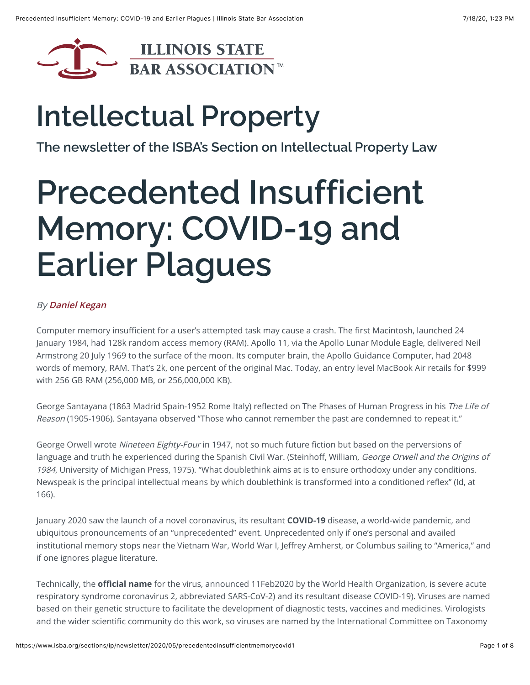

## **Intellectual Property**

**[The newsletter of the ISBA's Section on Intellectual Property Law](https://www.isba.org/sections/ip/newsletter)**

# **Precedented Insufficient Memory: COVID-19 and Earlier Plagues**

#### By **[Daniel Kegan](https://www.isba.org/publications/sectionnewsletters/authors/kegandaniel)**

Computer memory insufficient for a user's attempted task may cause a crash. The first Macintosh, launched 24 January 1984, had 128k random access memory (RAM). Apollo 11, via the Apollo Lunar Module Eagle, delivered Neil Armstrong 20 July 1969 to the surface of the moon. Its computer brain, the Apollo Guidance Computer, had 2048 words of memory, RAM. That's 2k, one percent of the original Mac. Today, an entry level MacBook Air retails for \$999 with 256 GB RAM (256,000 MB, or 256,000,000 KB).

George Santayana (1863 Madrid Spain-1952 Rome Italy) reflected on The Phases of Human Progress in his The Life of Reason (1905-1906). Santayana observed "Those who cannot remember the past are condemned to repeat it."

George Orwell wrote Nineteen Eighty-Four in 1947, not so much future fiction but based on the perversions of language and truth he experienced during the Spanish Civil War. (Steinhoff, William, George Orwell and the Origins of 1984, University of Michigan Press, 1975). "What doublethink aims at is to ensure orthodoxy under any conditions. Newspeak is the principal intellectual means by which doublethink is transformed into a conditioned reflex" (Id, at 166).

January 2020 saw the launch of a novel coronavirus, its resultant **COVID-19** disease, a world-wide pandemic, and ubiquitous pronouncements of an "unprecedented" event. Unprecedented only if one's personal and availed institutional memory stops near the Vietnam War, World War I, Jeffrey Amherst, or Columbus sailing to "America," and if one ignores plague literature.

Technically, the **official name** for the virus, announced 11Feb2020 by the World Health Organization, is severe acute respiratory syndrome coronavirus 2, abbreviated SARS-CoV-2) and its resultant disease COVID-19). Viruses are named based on their genetic structure to facilitate the development of diagnostic tests, vaccines and medicines. Virologists and the wider scientific community do this work, so viruses are named by the International Committee on Taxonomy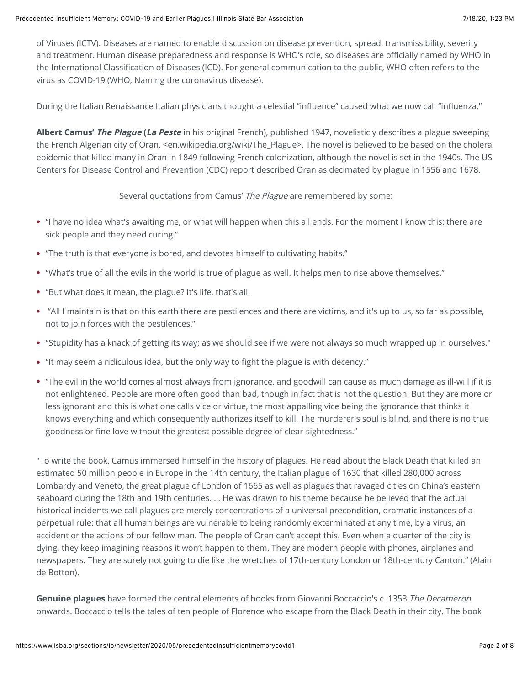of Viruses (ICTV). Diseases are named to enable discussion on disease prevention, spread, transmissibility, severity and treatment. Human disease preparedness and response is WHO's role, so diseases are officially named by WHO in the International Classification of Diseases (ICD). For general communication to the public, WHO often refers to the virus as COVID-19 (WHO, Naming the coronavirus disease).

During the Italian Renaissance Italian physicians thought a celestial "influence" caused what we now call "influenza."

**Albert Camus' The Plague (La Peste** in his original French), published 1947, novelisticly describes a plague sweeping the French Algerian city of Oran. <en.wikipedia.org/wiki/The Plague>. The novel is believed to be based on the cholera epidemic that killed many in Oran in 1849 following French colonization, although the novel is set in the 1940s. The US Centers for Disease Control and Prevention (CDC) report described Oran as decimated by plague in 1556 and 1678.

Several quotations from Camus' The Plague are remembered by some:

- "I have no idea what's awaiting me, or what will happen when this all ends. For the moment I know this: there are sick people and they need curing."
- "The truth is that everyone is bored, and devotes himself to cultivating habits."
- "What's true of all the evils in the world is true of plague as well. It helps men to rise above themselves."
- "But what does it mean, the plague? It's life, that's all.
- "All I maintain is that on this earth there are pestilences and there are victims, and it's up to us, so far as possible, not to join forces with the pestilences."
- "Stupidity has a knack of getting its way; as we should see if we were not always so much wrapped up in ourselves."
- "It may seem a ridiculous idea, but the only way to fight the plague is with decency."
- "The evil in the world comes almost always from ignorance, and goodwill can cause as much damage as ill-will if it is not enlightened. People are more often good than bad, though in fact that is not the question. But they are more or less ignorant and this is what one calls vice or virtue, the most appalling vice being the ignorance that thinks it knows everything and which consequently authorizes itself to kill. The murderer's soul is blind, and there is no true goodness or fine love without the greatest possible degree of clear-sightedness."

"To write the book, Camus immersed himself in the history of plagues. He read about the Black Death that killed an estimated 50 million people in Europe in the 14th century, the Italian plague of 1630 that killed 280,000 across Lombardy and Veneto, the great plague of London of 1665 as well as plagues that ravaged cities on China's eastern seaboard during the 18th and 19th centuries. … He was drawn to his theme because he believed that the actual historical incidents we call plagues are merely concentrations of a universal precondition, dramatic instances of a perpetual rule: that all human beings are vulnerable to being randomly exterminated at any time, by a virus, an accident or the actions of our fellow man. The people of Oran can't accept this. Even when a quarter of the city is dying, they keep imagining reasons it won't happen to them. They are modern people with phones, airplanes and newspapers. They are surely not going to die like the wretches of 17th-century London or 18th-century Canton." (Alain de Botton).

**Genuine plagues** have formed the central elements of books from Giovanni Boccaccio's c. 1353 The Decameron onwards. Boccaccio tells the tales of ten people of Florence who escape from the Black Death in their city. The book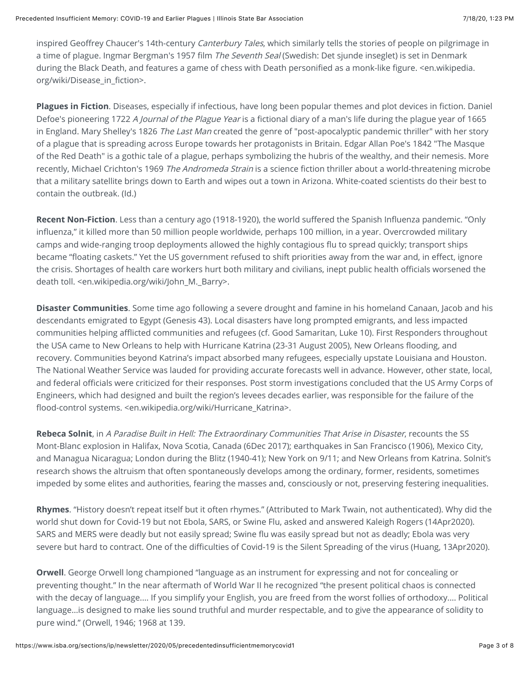inspired Geoffrey Chaucer's 14th-century Canterbury Tales, which similarly tells the stories of people on pilgrimage in a time of plague. Ingmar Bergman's 1957 film The Seventh Seal (Swedish: Det sjunde inseglet) is set in Denmark during the Black Death, and features a game of chess with Death personified as a monk-like figure. <en.wikipedia. org/wiki/Disease\_in\_fiction>.

**Plagues in Fiction**. Diseases, especially if infectious, have long been popular themes and plot devices in fiction. Daniel Defoe's pioneering 1722 A Journal of the Plague Year is a fictional diary of a man's life during the plague year of 1665 in England. Mary Shelley's 1826 The Last Man created the genre of "post-apocalyptic pandemic thriller" with her story of a plague that is spreading across Europe towards her protagonists in Britain. Edgar Allan Poe's 1842 "The Masque of the Red Death" is a gothic tale of a plague, perhaps symbolizing the hubris of the wealthy, and their nemesis. More recently, Michael Crichton's 1969 The Andromeda Strain is a science fiction thriller about a world-threatening microbe that a military satellite brings down to Earth and wipes out a town in Arizona. White-coated scientists do their best to contain the outbreak. (Id.)

**Recent Non-Fiction**. Less than a century ago (1918-1920), the world suffered the Spanish Influenza pandemic. "Only influenza," it killed more than 50 million people worldwide, perhaps 100 million, in a year. Overcrowded military camps and wide-ranging troop deployments allowed the highly contagious flu to spread quickly; transport ships became "floating caskets." Yet the US government refused to shift priorities away from the war and, in effect, ignore the crisis. Shortages of health care workers hurt both military and civilians, inept public health officials worsened the death toll. <en.wikipedia.org/wiki/John\_M.\_Barry>.

**Disaster Communities**. Some time ago following a severe drought and famine in his homeland Canaan, Jacob and his descendants emigrated to Egypt (Genesis 43). Local disasters have long prompted emigrants, and less impacted communities helping afflicted communities and refugees (cf. Good Samaritan, Luke 10). First Responders throughout the USA came to New Orleans to help with Hurricane Katrina (23-31 August 2005), New Orleans flooding, and recovery. Communities beyond Katrina's impact absorbed many refugees, especially upstate Louisiana and Houston. The National Weather Service was lauded for providing accurate forecasts well in advance. However, other state, local, and federal officials were criticized for their responses. Post storm investigations concluded that the US Army Corps of Engineers, which had designed and built the region's levees decades earlier, was responsible for the failure of the flood-control systems. <en.wikipedia.org/wiki/Hurricane\_Katrina>.

**Rebeca Solnit**, in A Paradise Built in Hell: The Extraordinary Communities That Arise in Disaster, recounts the SS Mont-Blanc explosion in Halifax, Nova Scotia, Canada (6Dec 2017); earthquakes in San Francisco (1906), Mexico City, and Managua Nicaragua; London during the Blitz (1940-41); New York on 9/11; and New Orleans from Katrina. Solnit's research shows the altruism that often spontaneously develops among the ordinary, former, residents, sometimes impeded by some elites and authorities, fearing the masses and, consciously or not, preserving festering inequalities.

**Rhymes**. "History doesn't repeat itself but it often rhymes." (Attributed to Mark Twain, not authenticated). Why did the world shut down for Covid-19 but not Ebola, SARS, or Swine Flu, asked and answered Kaleigh Rogers (14Apr2020). SARS and MERS were deadly but not easily spread; Swine flu was easily spread but not as deadly; Ebola was very severe but hard to contract. One of the difficulties of Covid-19 is the Silent Spreading of the virus (Huang, 13Apr2020).

**Orwell**. George Orwell long championed "language as an instrument for expressing and not for concealing or preventing thought." In the near aftermath of World War II he recognized "the present political chaos is connected with the decay of language.… If you simplify your English, you are freed from the worst follies of orthodoxy.… Political language…is designed to make lies sound truthful and murder respectable, and to give the appearance of solidity to pure wind." (Orwell, 1946; 1968 at 139.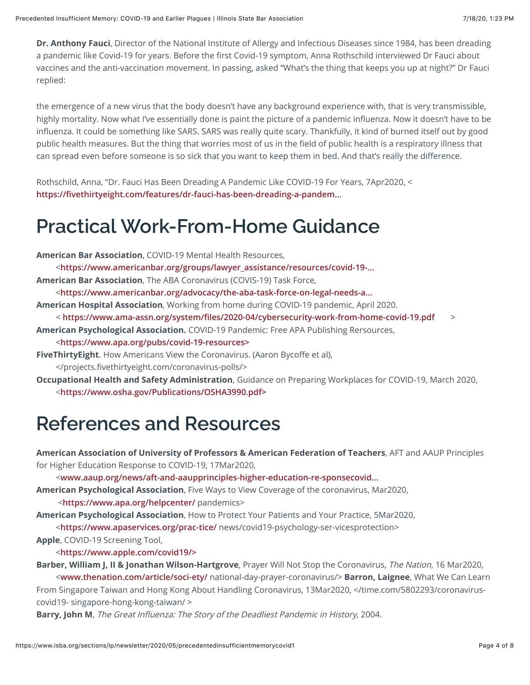**Dr. Anthony Fauci**, Director of the National Institute of Allergy and Infectious Diseases since 1984, has been dreading a pandemic like Covid-19 for years. Before the first Covid-19 symptom, Anna Rothschild interviewed Dr Fauci about vaccines and the anti-vaccination movement. In passing, asked "What's the thing that keeps you up at night?" Dr Fauci replied:

the emergence of a new virus that the body doesn't have any background experience with, that is very transmissible, highly mortality. Now what I've essentially done is paint the picture of a pandemic influenza. Now it doesn't have to be influenza. It could be something like SARS. SARS was really quite scary. Thankfully, it kind of burned itself out by good public health measures. But the thing that worries most of us in the field of public health is a respiratory illness that can spread even before someone is so sick that you want to keep them in bed. And that's really the difference.

Rothschild, Anna, "Dr. Fauci Has Been Dreading A Pandemic Like COVID-19 For Years, 7Apr2020, < **https://fi[vethirtyeight.com/features/dr-fauci-has-been-dreading-a-pandem...](https://fivethirtyeight.com/features/dr-fauci-has-been-dreading-a-pandemic-like-covid-19-for-years/%3E)**

## **Practical Work-From-Home Guidance**

**American Bar Association**, COVID-19 Mental Health Resources,

<**[https://www.americanbar.org/groups/lawyer\\_assistance/resources/covid-19-...](https://www.americanbar.org/groups/lawyer_assistance/resources/covid-19--mental-health-resources/%3E)**

**American Bar Association**, The ABA Coronavirus (COVIS-19) Task Force,

<**[https://www.americanbar.org/advocacy/the-aba-task-force-on-legal-needs-a...](https://www.americanbar.org/advocacy/the-aba-task-force-on-legal-needs-arising-out-of-the-2020-pandem/%3E)**

**American Hospital Association**, Working from home during COVID-19 pandemic, April 2020.

- < **https://www.ama-assn.org/system/fi[les/2020-04/cybersecurity-work-from-home-covid-19.pdf](https://www.ama-assn.org/system/files/2020-04/cybersecurity-work-from-home-covid-19.pdf)** >
- **American Psychological Association.** COVID-19 Pandemic: Free APA Publishing Rersources,

<**[https://www.apa.org/pubs/covid-19-resources>](https://www.apa.org/pubs/covid-19-resources%3E)**

- **FiveThirtyEight**. How Americans View the Coronavirus. (Aaron Bycoffe et al), </projects.fivethirtyeight.com/coronavirus-polls/>
- **Occupational Health and Safety Administration**, Guidance on Preparing Workplaces for COVID-19, March 2020, <**[https://www.osha.gov/Publications/OSHA3990.pdf>](https://www.osha.gov/Publications/OSHA3990.pdf%3E)**

### **References and Resources**

**American Association of University of Professors & American Federation of Teachers**, AFT and AAUP Principles for Higher Education Response to COVID-19, 17Mar2020,

<**[www.aaup.org/news/aft-and-aaupprinciples-higher-education-re-sponsecovid...](http://www.aaup.org/news/aft-and-aaupprinciples-higher-education-re-sponsecovid-19#.XpCTxy_MzOQ%3E)**

**American Psychological Association**, Five Ways to View Coverage of the coronavirus, Mar2020,

<**<https://www.apa.org/helpcenter/>** pandemics>

**American Psychological Association**, How to Protect Your Patients and Your Practice, 5Mar2020,

<**<https://www.apaservices.org/prac-tice/>** news/covid19-psychology-ser-vicesprotection>

**Apple**, COVID-19 Screening Tool,

<**[https://www.apple.com/covid19/>](https://www.apple.com/covid19/%3E)**

**Barber, William J, II & Jonathan Wilson-Hartgrove**, Prayer Will Not Stop the Coronavirus, The Nation, 16 Mar2020,

 <**[www.thenation.com/article/soci-ety/](http://www.thenation.com/article/soci-ety/)** national-day-prayer-coronavirus/> **Barron, Laignee**, What We Can Learn From Singapore Taiwan and Hong Kong About Handling Coronavirus, 13Mar2020, </time.com/5802293/coronaviruscovid19- singapore-hong-kong-taiwan/ >

**Barry, John M**, The Great Influenza: The Story of the Deadliest Pandemic in History, 2004.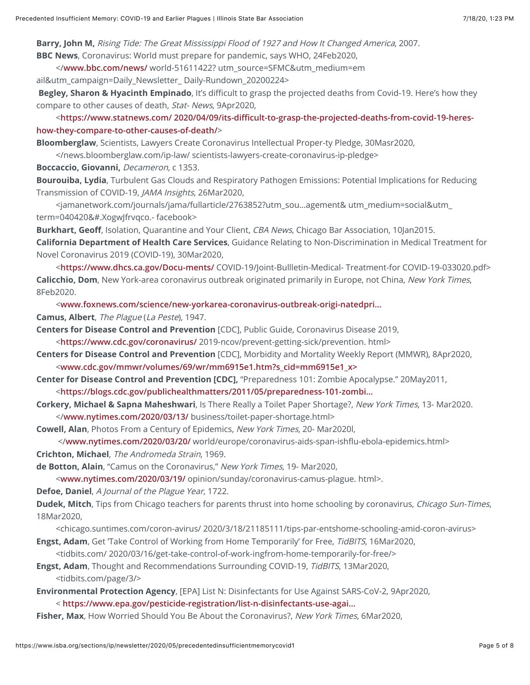**Barry, John M,** Rising Tide: The Great Mississippi Flood of 1927 and How It Changed America, 2007. **BBC News**, Coronavirus: World must prepare for pandemic, says WHO, 24Feb2020,

</**[www.bbc.com/news/](http://www.bbc.com/news/)** world-51611422? utm\_source=SFMC&utm\_medium=em

ail&utm\_campaign=Daily\_Newsletter\_ Daily-Rundown\_20200224>

**Begley, Sharon & Hyacinth Empinado**, It's difficult to grasp the projected deaths from Covid-19. Here's how they compare to other causes of death, Stat- News, 9Apr2020,

 <**https://www.statnews.com/ 2020/04/09/its-diffi[cult-to-grasp-the-projected-deaths-from-covid-19-heres](https://www.statnews.com/%202020/04/09/its-difficult-to-grasp-the-projected-deaths-from-covid-19-heres-how-they-compare-to-other-causes-of-death/)how-they-compare-to-other-causes-of-death/**>

**Bloomberglaw**, Scientists, Lawyers Create Coronavirus Intellectual Proper-ty Pledge, 30Masr2020,

</news.bloomberglaw.com/ip-law/ scientists-lawyers-create-coronavirus-ip-pledge>

**Boccaccio, Giovanni,** Decameron, c 1353.

**Bourouiba, Lydia**, Turbulent Gas Clouds and Respiratory Pathogen Emissions: Potential Implications for Reducing Transmission of COVID-19, JAMA Insights, 26Mar2020,

 <jamanetwork.com/journals/jama/fullarticle/2763852?utm\_sou…agement& utm\_medium=social&utm\_ term=040420&#.XogwJfrvqco.- facebook>

**Burkhart, Geoff**, Isolation, Quarantine and Your Client, CBA News, Chicago Bar Association, 10Jan2015. **California Department of Health Care Services**, Guidance Relating to Non-Discrimination in Medical Treatment for Novel Coronavirus 2019 (COVID-19), 30Mar2020,

 <**<https://www.dhcs.ca.gov/Docu-ments/>** COVID-19/Joint-Bullletin-Medical- Treatment-for COVID-19-033020.pdf> **Calicchio, Dom**, New York-area coronavirus outbreak originated primarily in Europe, not China, New York Times, 8Feb2020.

<**[www.foxnews.com/science/new-yorkarea-coronavirus-outbreak-origi-natedpri...](http://www.foxnews.com/science/new-yorkarea-coronavirus-outbreak-origi-natedprimarily-in-europe-not-china-report%3E)**

**Camus, Albert**, The Plague (La Peste), 1947.

**Centers for Disease Control and Prevention** [CDC], Public Guide, Coronavirus Disease 2019,

<**<https://www.cdc.gov/coronavirus/>** 2019-ncov/prevent-getting-sick/prevention. html>

**Centers for Disease Control and Prevention** [CDC], Morbidity and Mortality Weekly Report (MMWR), 8Apr2020, <**[www.cdc.gov/mmwr/volumes/69/wr/mm6915e1.htm?s\\_cid=mm6915e1\\_x>](http://www.cdc.gov/mmwr/volumes/69/wr/mm6915e1.htm?s_cid=mm6915e1_x%3E)**

**Center for Disease Control and Prevention [CDC],** "Preparedness 101: Zombie Apocalypse." 20May2011,

<**[https://blogs.cdc.gov/publichealthmatters/2011/05/preparedness-101-zombi...](https://blogs.cdc.gov/publichealthmatters/2011/05/preparedness-101-zombie-apocalypse/%3E)**

- **Corkery, Michael & Sapna Maheshwari**, Is There Really a Toilet Paper Shortage?, New York Times, 13- Mar2020. </**[www.nytimes.com/2020/03/13/](http://www.nytimes.com/2020/03/13/)** business/toilet-paper-shortage.html>
- **Cowell, Alan**, Photos From a Century of Epidemics, New York Times, 20- Mar2020l,

 </**[www.nytimes.com/2020/03/20/](http://www.nytimes.com/2020/03/20/)** world/europe/coronavirus-aids-span-ishflu-ebola-epidemics.html> **Crichton, Michael**, The Andromeda Strain, 1969.

**de Botton, Alain**, "Camus on the Coronavirus," New York Times, 19- Mar2020,

<**[www.nytimes.com/2020/03/19/](http://www.nytimes.com/2020/03/19/)** opinion/sunday/coronavirus-camus-plague. html>.

**Defoe, Daniel**, A Journal of the Plague Year, 1722.

**Dudek, Mitch**, Tips from Chicago teachers for parents thrust into home schooling by coronavirus, Chicago Sun-Times, 18Mar2020,

<chicago.suntimes.com/coron-avirus/ 2020/3/18/21185111/tips-par-entshome-schooling-amid-coron-avirus>

**Engst, Adam**, Get 'Take Control of Working from Home Temporarily' for Free, TidBITS, 16Mar2020,

<tidbits.com/ 2020/03/16/get-take-control-of-work-ingfrom-home-temporarily-for-free/>

**Engst, Adam**, Thought and Recommendations Surrounding COVID-19, TidBITS, 13Mar2020, <tidbits.com/page/3/>

**Environmental Protection Agency**, [EPA] List N: Disinfectants for Use Against SARS-CoV-2, 9Apr2020,

< **[https://www.epa.gov/pesticide-registration/list-n-disinfectants-use-agai...](https://www.epa.gov/pesticide-registration/list-n-disinfectants-use-against-sars-cov-2%3E)**

**Fisher, Max**, How Worried Should You Be About the Coronavirus?, New York Times, 6Mar2020,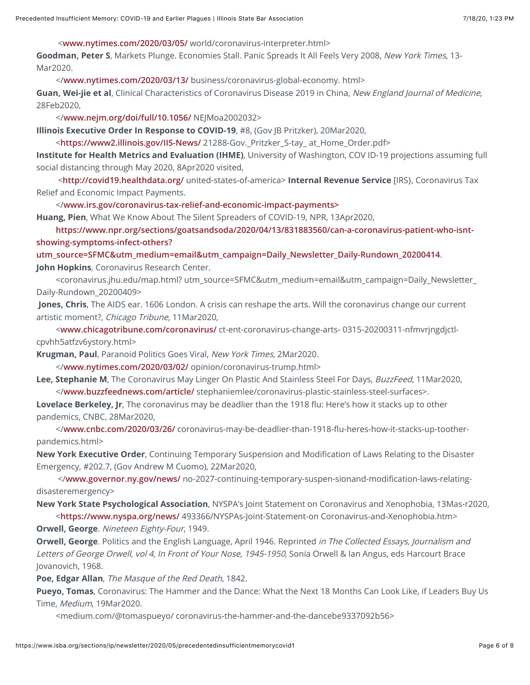<**[www.nytimes.com/2020/03/05/](http://www.nytimes.com/2020/03/05/)** world/coronavirus-interpreter.html>

**Goodman, Peter S**, Markets Plunge. Economies Stall. Panic Spreads It All Feels Very 2008, New York Times, 13- Mar2020.

</**[www.nytimes.com/2020/03/13/](http://www.nytimes.com/2020/03/13/)** business/coronavirus-global-economy. html>

**Guan, Wei-jie et al**, Clinical Characteristics of Coronavirus Disease 2019 in China, New England Journal of Medicine, 28Feb2020,

</**[www.nejm.org/doi/full/10.1056/](http://www.nejm.org/doi/full/10.1056/)** NEJMoa2002032>

**Illinois Executive Order In Response to COVID-19**, #8, (Gov JB Pritzker), 20Mar2020,

<**<https://www2.illinois.gov/IIS-News/>** 21288-Gov.\_Pritzker\_S-tay\_ at\_Home\_Order.pdf>

**Institute for Health Metrics and Evaluation (IHME)**, University of Washington, COV ID-19 projections assuming full social distancing through May 2020, 8Apr2020 visited,

 <**<http://covid19.healthdata.org/>** united-states-of-america> **Internal Revenue Service** [IRS}, Coronavirus Tax Relief and Economic Impact Payments.

</**[www.irs.gov/coronavirus-tax-relief-and-economic-impact-payments>](http://www.irs.gov/coronavirus-tax-relief-and-economic-impact-payments%3E)**

**Huang, Pien**, What We Know About The Silent Spreaders of COVID-19, NPR, 13Apr2020,

 **[https://www.npr.org/sections/goatsandsoda/2020/04/13/831883560/can-a-coronavirus-patient-who-isnt](https://www.npr.org/sections/goatsandsoda/2020/04/13/831883560/can-a-coronavirus-patient-who-isnt-showing-symptoms-infect-others?utm_source=SFMC&utm_medium=email&utm_campaign=Daily_Newsletter_Daily-Rundown_20200414)showing-symptoms-infect-others?**

**utm\_source=SFMC&utm\_medium=email&utm\_campaign=Daily\_Newsletter\_Daily-Rundown\_20200414**. **John Hopkins**, Coronavirus Research Center.

 <coronavirus.jhu.edu/map.html? utm\_source=SFMC&utm\_medium=email&utm\_campaign=Daily\_Newsletter\_ Daily-Rundown\_20200409>

**Jones, Chris**, The AIDS ear. 1606 London. A crisis can reshape the arts. Will the coronavirus change our current artistic moment?, Chicago Tribune, 11Mar2020,

 <**[www.chicagotribune.com/coronavirus/](http://www.chicagotribune.com/coronavirus/)** ct-ent-coronavirus-change-arts- 0315-20200311-nfmvrjngdjctlcpvhh5atfzv6ystory.html>

**Krugman, Paul**, Paranoid Politics Goes Viral, New York Times, 2Mar2020.

</**[www.nytimes.com/2020/03/02/](http://www.nytimes.com/2020/03/02/)** opinion/coronavirus-trump.html>

Lee, Stephanie M, The Coronavirus May Linger On Plastic And Stainless Steel For Days, BuzzFeed, 11Mar2020,

</**[www.buzzfeednews.com/article/](http://www.buzzfeednews.com/article/)** stephaniemlee/coronavirus-plastic-stainless-steel-surfaces>.

**Lovelace Berkeley, Jr**, The coronavirus may be deadlier than the 1918 flu: Here's how it stacks up to other pandemics, CNBC, 28Mar2020,

 </**[www.cnbc.com/2020/03/26/](http://www.cnbc.com/2020/03/26/)** coronavirus-may-be-deadlier-than-1918-flu-heres-how-it-stacks-up-tootherpandemics.html>

**New York Executive Order**, Continuing Temporary Suspension and Modification of Laws Relating to the Disaster Emergency, #202.7, (Gov Andrew M Cuomo), 22Mar2020,

 </**[www.governor.ny.gov/news/](http://www.governor.ny.gov/news/)** no-2027-continuing-temporary-suspen-sionand-modification-laws-relatingdisasteremergency>

**New York State Psychological Association**, NYSPA's Joint Statement on Coronavirus and Xenophobia, 13Mas-r2020, <**<https://www.nyspa.org/news/>** 493366/NYSPAs-Joint-Statement-on Coronavirus-and-Xenophobia.htm>

**Orwell, George**. Nineteen Eighty-Four, 1949.

**Orwell, George**. Politics and the English Language, April 1946. Reprinted in The Collected Essays, Journalism and Letters of George Orwell, vol 4, In Front of Your Nose, 1945-1950, Sonia Orwell & Ian Angus, eds Harcourt Brace Jovanovich, 1968.

**Poe, Edgar Allan**, The Masque of the Red Death, 1842.

**Pueyo, Tomas**, Coronavirus: The Hammer and the Dance: What the Next 18 Months Can Look Like, if Leaders Buy Us Time, Medium, 19Mar2020.

<medium.com/@tomaspueyo/ coronavirus-the-hammer-and-the-dancebe9337092b56>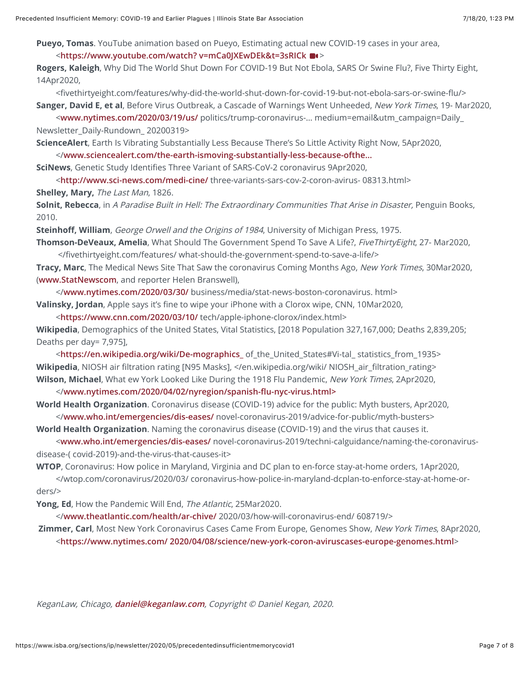**Pueyo, Tomas**. YouTube animation based on Pueyo, Estimating actual new COVID-19 cases in your area,

#### <**[https://www.youtube.com/watch? v=mCa0JXEwDEk&t=3sRICk](https://www.youtube.com/watch?%20v=mCa0JXEwDEk&t=3sRICk)** >

**Rogers, Kaleigh**, Why Did The World Shut Down For COVID-19 But Not Ebola, SARS Or Swine Flu?, Five Thirty Eight, 14Apr2020,

<fivethirtyeight.com/features/why-did-the-world-shut-down-for-covid-19-but-not-ebola-sars-or-swine-flu/>

**Sanger, David E, et al**, Before Virus Outbreak, a Cascade of Warnings Went Unheeded, New York Times, 19- Mar2020, <**[www.nytimes.com/2020/03/19/us/](http://www.nytimes.com/2020/03/19/us/)** politics/trump-coronavirus-… medium=email&utm\_campaign=Daily\_

Newsletter\_Daily-Rundown\_ 20200319>

**ScienceAlert**, Earth Is Vibrating Substantially Less Because There's So Little Activity Right Now, 5Apr2020, </**[www.sciencealert.com/the-earth-ismoving-substantially-less-because-ofthe...](http://www.sciencealert.com/the-earth-ismoving-substantially-less-because-ofthe-global-pandemic%3E)**

**SciNews**, Genetic Study Identifies Three Variant of SARS-CoV-2 coronavirus 9Apr2020,

<**<http://www.sci-news.com/medi-cine/>** three-variants-sars-cov-2-coron-avirus- 08313.html>

**Shelley, Mary,** The Last Man, 1826.

**Solnit, Rebecca**, in A Paradise Built in Hell: The Extraordinary Communities That Arise in Disaster, Penguin Books, 2010.

**Steinhoff, William**, George Orwell and the Origins of 1984, University of Michigan Press, 1975.

**Thomson-DeVeaux, Amelia**, What Should The Government Spend To Save A Life?, FiveThirtyEight, 27- Mar2020, </fivethirtyeight.com/features/ what-should-the-government-spend-to-save-a-life/>

**Tracy, Marc**, The Medical News Site That Saw the coronavirus Coming Months Ago, New York Times, 30Mar2020, (**[www.StatNewscom](http://www.statnewscom/)**, and reporter Helen Branswell),

 </**[www.nytimes.com/2020/03/30/](http://www.nytimes.com/2020/03/30/)** business/media/stat-news-boston-coronavirus. html> **Valinsky, Jordan**, Apple says it's fine to wipe your iPhone with a Clorox wipe, CNN, 10Mar2020,

 <**<https://www.cnn.com/2020/03/10/>** tech/apple-iphone-clorox/index.html> **Wikipedia**, Demographics of the United States, Vital Statistics, [2018 Population 327,167,000; Deaths 2,839,205;

Deaths per day= 7,975],

 <**[https://en.wikipedia.org/wiki/De-mographics\\_](https://en.wikipedia.org/wiki/De-mographics_)** of\_the\_United\_States#Vi-tal\_ statistics\_from\_1935> Wikipedia, NIOSH air filtration rating [N95 Masks], </en.wikipedia.org/wiki/ NIOSH\_air\_filtration\_rating> **Wilson, Michael**, What ew York Looked Like During the 1918 Flu Pandemic, New York Times, 2Apr2020,

</**[www.nytimes.com/2020/04/02/nyregion/spanish-](http://www.nytimes.com/2020/04/02/nyregion/spanish-flu-nyc-virus.html%3E)flu-nyc-virus.html>**

**World Health Organization**. Coronavirus disease (COVID-19) advice for the public: Myth busters, Apr2020,

 </**[www.who.int/emergencies/dis-eases/](http://www.who.int/emergencies/dis-eases/)** novel-coronavirus-2019/advice-for-public/myth-busters> **World Health Organization**. Naming the coronavirus disease (COVID-19) and the virus that causes it.

 <**[www.who.int/emergencies/dis-eases/](http://www.who.int/emergencies/dis-eases/)** novel-coronavirus-2019/techni-calguidance/naming-the-coronavirusdisease-( covid-2019)-and-the-virus-that-causes-it>

**WTOP**, Coronavirus: How police in Maryland, Virginia and DC plan to en-force stay-at-home orders, 1Apr2020,

 </wtop.com/coronavirus/2020/03/ coronavirus-how-police-in-maryland-dcplan-to-enforce-stay-at-home-orders/>

**Yong, Ed**, How the Pandemic Will End, The Atlantic, 25Mar2020.

</**[www.theatlantic.com/health/ar-chive/](http://www.theatlantic.com/health/ar-chive/)** 2020/03/how-will-coronavirus-end/ 608719/>

**Zimmer, Carl**, Most New York Coronavirus Cases Came From Europe, Genomes Show, New York Times, 8Apr2020, <**[https://www.nytimes.com/ 2020/04/08/science/new-york-coron-aviruscases-europe-genomes.html](https://www.nytimes.com/%202020/04/08/science/new-york-coron-aviruscases-europe-genomes.html)**>

KeganLaw, Chicago, **[daniel@keganlaw.com](mailto:daniel@keganlaw.com)**, Copyright © Daniel Kegan, 2020.